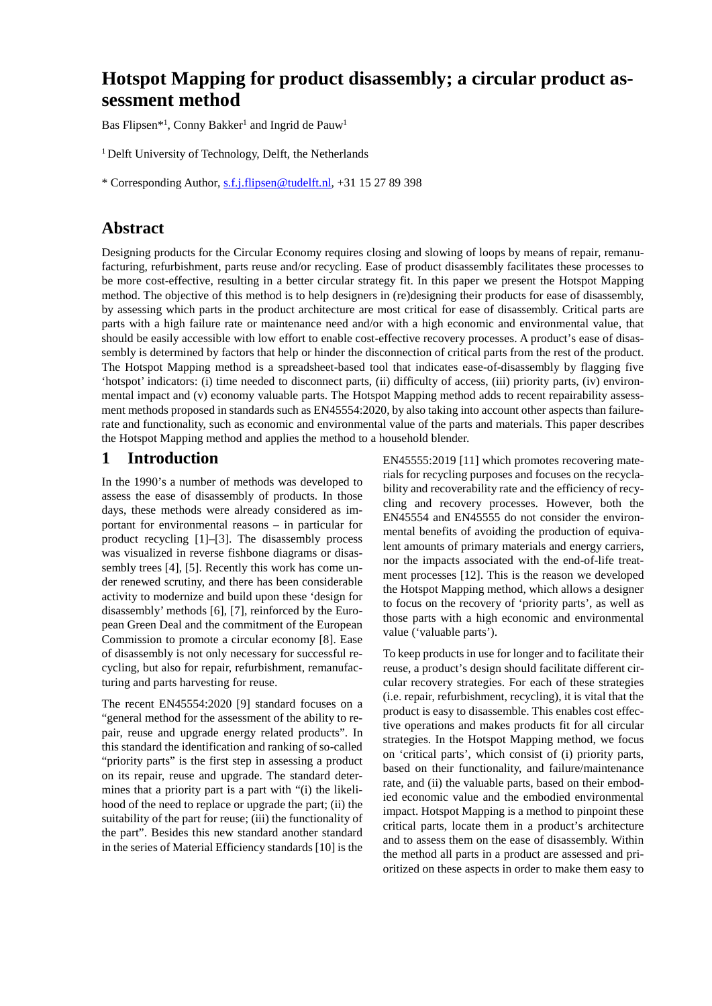# **Hotspot Mapping for product disassembly; a circular product assessment method**

Bas Flipsen<sup>\*1</sup>, Conny Bakker<sup>1</sup> and Ingrid de Pauw<sup>1</sup>

<sup>1</sup> Delft University of Technology, Delft, the Netherlands

\* Corresponding Author, [s.f.j.flipsen@tudelft.nl,](mailto:s.f.j.flipsen@tudelft.nl) +31 15 27 89 398

# **Abstract**

Designing products for the Circular Economy requires closing and slowing of loops by means of repair, remanufacturing, refurbishment, parts reuse and/or recycling. Ease of product disassembly facilitates these processes to be more cost-effective, resulting in a better circular strategy fit. In this paper we present the Hotspot Mapping method. The objective of this method is to help designers in (re)designing their products for ease of disassembly, by assessing which parts in the product architecture are most critical for ease of disassembly. Critical parts are parts with a high failure rate or maintenance need and/or with a high economic and environmental value, that should be easily accessible with low effort to enable cost-effective recovery processes. A product's ease of disassembly is determined by factors that help or hinder the disconnection of critical parts from the rest of the product. The Hotspot Mapping method is a spreadsheet-based tool that indicates ease-of-disassembly by flagging five 'hotspot' indicators: (i) time needed to disconnect parts, (ii) difficulty of access, (iii) priority parts, (iv) environmental impact and (v) economy valuable parts. The Hotspot Mapping method adds to recent repairability assessment methods proposed in standards such as EN45554:2020, by also taking into account other aspects than failurerate and functionality, such as economic and environmental value of the parts and materials. This paper describes the Hotspot Mapping method and applies the method to a household blender.

## **1 Introduction**

In the 1990's a number of methods was developed to assess the ease of disassembly of products. In those days, these methods were already considered as important for environmental reasons – in particular for product recycling [1]–[3]. The disassembly process was visualized in reverse fishbone diagrams or disassembly trees [4], [5]. Recently this work has come under renewed scrutiny, and there has been considerable activity to modernize and build upon these 'design for disassembly' methods [6], [7], reinforced by the European Green Deal and the commitment of the European Commission to promote a circular economy [8]. Ease of disassembly is not only necessary for successful recycling, but also for repair, refurbishment, remanufacturing and parts harvesting for reuse.

The recent EN45554:2020 [9] standard focuses on a "general method for the assessment of the ability to repair, reuse and upgrade energy related products". In this standard the identification and ranking of so-called "priority parts" is the first step in assessing a product on its repair, reuse and upgrade. The standard determines that a priority part is a part with "(i) the likelihood of the need to replace or upgrade the part; (ii) the suitability of the part for reuse; (iii) the functionality of the part". Besides this new standard another standard in the series of Material Efficiency standards [10] is the

EN45555:2019 [11] which promotes recovering materials for recycling purposes and focuses on the recyclability and recoverability rate and the efficiency of recycling and recovery processes. However, both the EN45554 and EN45555 do not consider the environmental benefits of avoiding the production of equivalent amounts of primary materials and energy carriers, nor the impacts associated with the end-of-life treatment processes [12]. This is the reason we developed the Hotspot Mapping method, which allows a designer to focus on the recovery of 'priority parts', as well as those parts with a high economic and environmental value ('valuable parts').

To keep products in use for longer and to facilitate their reuse, a product's design should facilitate different circular recovery strategies. For each of these strategies (i.e. repair, refurbishment, recycling), it is vital that the product is easy to disassemble. This enables cost effective operations and makes products fit for all circular strategies. In the Hotspot Mapping method, we focus on 'critical parts', which consist of (i) priority parts, based on their functionality, and failure/maintenance rate, and (ii) the valuable parts, based on their embodied economic value and the embodied environmental impact. Hotspot Mapping is a method to pinpoint these critical parts, locate them in a product's architecture and to assess them on the ease of disassembly. Within the method all parts in a product are assessed and prioritized on these aspects in order to make them easy to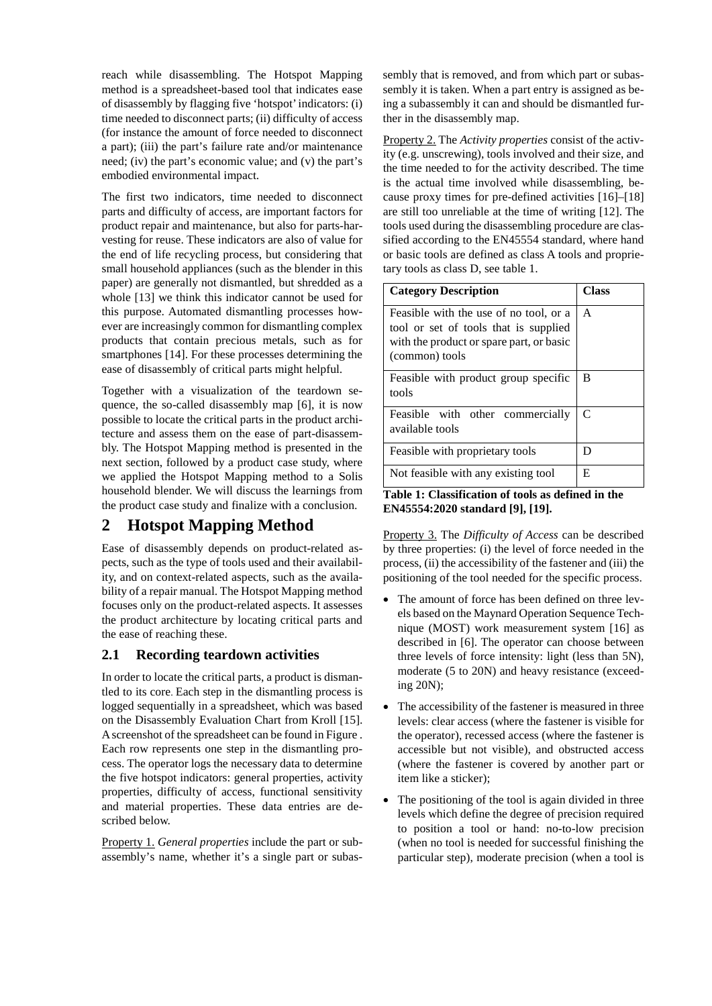reach while disassembling. The Hotspot Mapping method is a spreadsheet-based tool that indicates ease of disassembly by flagging five 'hotspot' indicators: (i) time needed to disconnect parts; (ii) difficulty of access (for instance the amount of force needed to disconnect a part); (iii) the part's failure rate and/or maintenance need; (iv) the part's economic value; and (v) the part's embodied environmental impact.

The first two indicators, time needed to disconnect parts and difficulty of access, are important factors for product repair and maintenance, but also for parts-harvesting for reuse. These indicators are also of value for the end of life recycling process, but considering that small household appliances (such as the blender in this paper) are generally not dismantled, but shredded as a whole [13] we think this indicator cannot be used for this purpose. Automated dismantling processes however are increasingly common for dismantling complex products that contain precious metals, such as for smartphones [14]. For these processes determining the ease of disassembly of critical parts might helpful.

Together with a visualization of the teardown sequence, the so-called disassembly map [6], it is now possible to locate the critical parts in the product architecture and assess them on the ease of part-disassembly. The Hotspot Mapping method is presented in the next section, followed by a product case study, where we applied the Hotspot Mapping method to a Solis household blender. We will discuss the learnings from the product case study and finalize with a conclusion.

# **2 Hotspot Mapping Method**

Ease of disassembly depends on product-related aspects, such as the type of tools used and their availability, and on context-related aspects, such as the availability of a repair manual. The Hotspot Mapping method focuses only on the product-related aspects. It assesses the product architecture by locating critical parts and the ease of reaching these.

### **2.1 Recording teardown activities**

In order to locate the critical parts, a product is dismantled to its core. Each step in the dismantling process is logged sequentially in a spreadsheet, which was based on the Disassembly Evaluation Chart from Kroll [15]. Ascreenshot of the spreadsheet can be found in [Figure .](#page-4-0) Each row represents one step in the dismantling process. The operator logs the necessary data to determine the five hotspot indicators: general properties, activity properties, difficulty of access, functional sensitivity and material properties. These data entries are described below.

Property 1. *General properties* include the part or subassembly's name, whether it's a single part or subassembly that is removed, and from which part or subassembly it is taken. When a part entry is assigned as being a subassembly it can and should be dismantled further in the disassembly map.

Property 2. The *Activity properties* consist of the activity (e.g. unscrewing), tools involved and their size, and the time needed to for the activity described. The time is the actual time involved while disassembling, because proxy times for pre-defined activities [16]–[18] are still too unreliable at the time of writing [12]. The tools used during the disassembling procedure are classified according to the EN45554 standard, where hand or basic tools are defined as class A tools and proprietary tools as class D, see table 1.

| <b>Category Description</b>                                                                                                                   | <b>Class</b> |  |  |  |  |
|-----------------------------------------------------------------------------------------------------------------------------------------------|--------------|--|--|--|--|
| Feasible with the use of no tool, or a<br>tool or set of tools that is supplied<br>with the product or spare part, or basic<br>(common) tools | A            |  |  |  |  |
| Feasible with product group specific<br>tools                                                                                                 | B            |  |  |  |  |
| Feasible with other commercially<br>available tools                                                                                           | C            |  |  |  |  |
| Feasible with proprietary tools                                                                                                               | D            |  |  |  |  |
| Not feasible with any existing tool                                                                                                           | E            |  |  |  |  |

**Table 1: Classification of tools as defined in the EN45554:2020 standard [9], [19].**

Property 3. The *Difficulty of Access* can be described by three properties: (i) the level of force needed in the process, (ii) the accessibility of the fastener and (iii) the positioning of the tool needed for the specific process.

- The amount of force has been defined on three levels based on the Maynard Operation Sequence Technique (MOST) work measurement system [16] as described in [6]. The operator can choose between three levels of force intensity: light (less than 5N), moderate (5 to 20N) and heavy resistance (exceeding 20N);
- The accessibility of the fastener is measured in three levels: clear access (where the fastener is visible for the operator), recessed access (where the fastener is accessible but not visible), and obstructed access (where the fastener is covered by another part or item like a sticker);
- The positioning of the tool is again divided in three levels which define the degree of precision required to position a tool or hand: no-to-low precision (when no tool is needed for successful finishing the particular step), moderate precision (when a tool is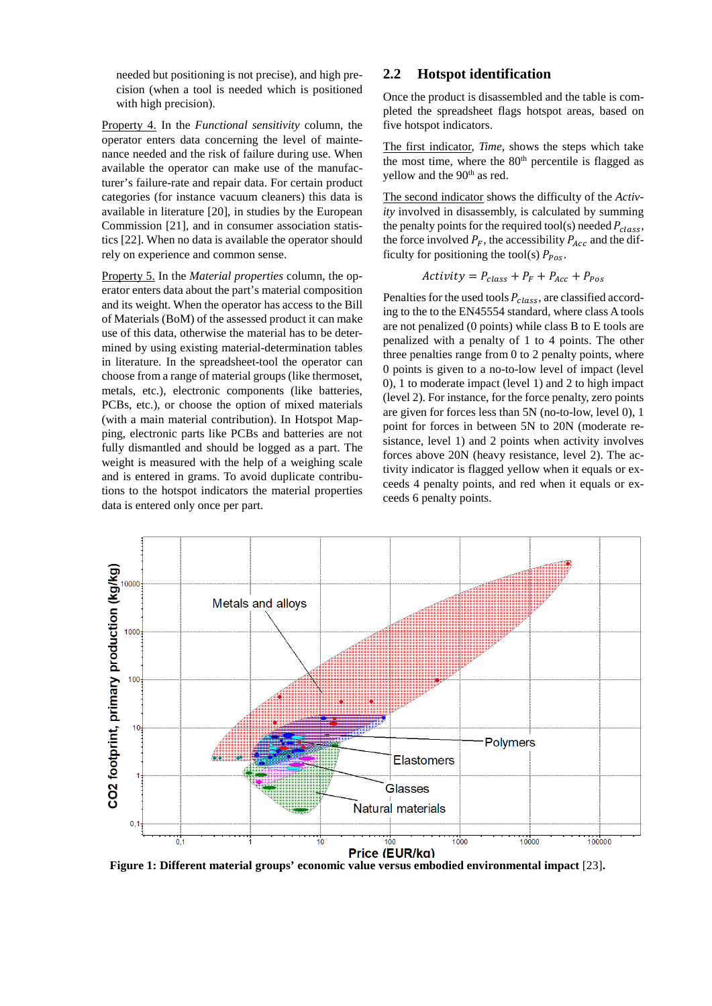needed but positioning is not precise), and high precision (when a tool is needed which is positioned with high precision).

Property 4. In the *Functional sensitivity* column, the operator enters data concerning the level of maintenance needed and the risk of failure during use. When available the operator can make use of the manufacturer's failure-rate and repair data. For certain product categories (for instance vacuum cleaners) this data is available in literature [20], in studies by the European Commission [21], and in consumer association statistics [22]. When no data is available the operator should rely on experience and common sense.

Property 5. In the *Material properties* column, the operator enters data about the part's material composition and its weight. When the operator has access to the Bill of Materials (BoM) of the assessed product it can make use of this data, otherwise the material has to be determined by using existing material-determination tables in literature. In the spreadsheet-tool the operator can choose from a range of material groups (like thermoset, metals, etc.), electronic components (like batteries, PCBs, etc.), or choose the option of mixed materials (with a main material contribution). In Hotspot Mapping, electronic parts like PCBs and batteries are not fully dismantled and should be logged as a part. The weight is measured with the help of a weighing scale and is entered in grams. To avoid duplicate contributions to the hotspot indicators the material properties data is entered only once per part.

### **2.2 Hotspot identification**

Once the product is disassembled and the table is completed the spreadsheet flags hotspot areas, based on five hotspot indicators.

The first indicator, *Time*, shows the steps which take the most time, where the  $80<sup>th</sup>$  percentile is flagged as yellow and the 90<sup>th</sup> as red.

The second indicator shows the difficulty of the *Activity* involved in disassembly, is calculated by summing the penalty points for the required tool(s) needed  $P_{class}$ , the force involved  $P_F$ , the accessibility  $P_{Acc}$  and the difficulty for positioning the tool(s)  $P_{Pos}$ .

$$
Activity = P_{class} + P_F + P_{Acc} + P_{Pos}
$$

Penalties for the used tools  $P_{class}$ , are classified according to the to the EN45554 standard, where class A tools are not penalized (0 points) while class B to E tools are penalized with a penalty of 1 to 4 points. The other three penalties range from 0 to 2 penalty points, where 0 points is given to a no-to-low level of impact (level 0), 1 to moderate impact (level 1) and 2 to high impact (level 2). For instance, for the force penalty, zero points are given for forces less than 5N (no-to-low, level 0), 1 point for forces in between 5N to 20N (moderate resistance, level 1) and 2 points when activity involves forces above 20N (heavy resistance, level 2). The activity indicator is flagged yellow when it equals or exceeds 4 penalty points, and red when it equals or exceeds 6 penalty points.



**Figure 1: Different material groups' economic value versus embodied environmental impact** [23]**.**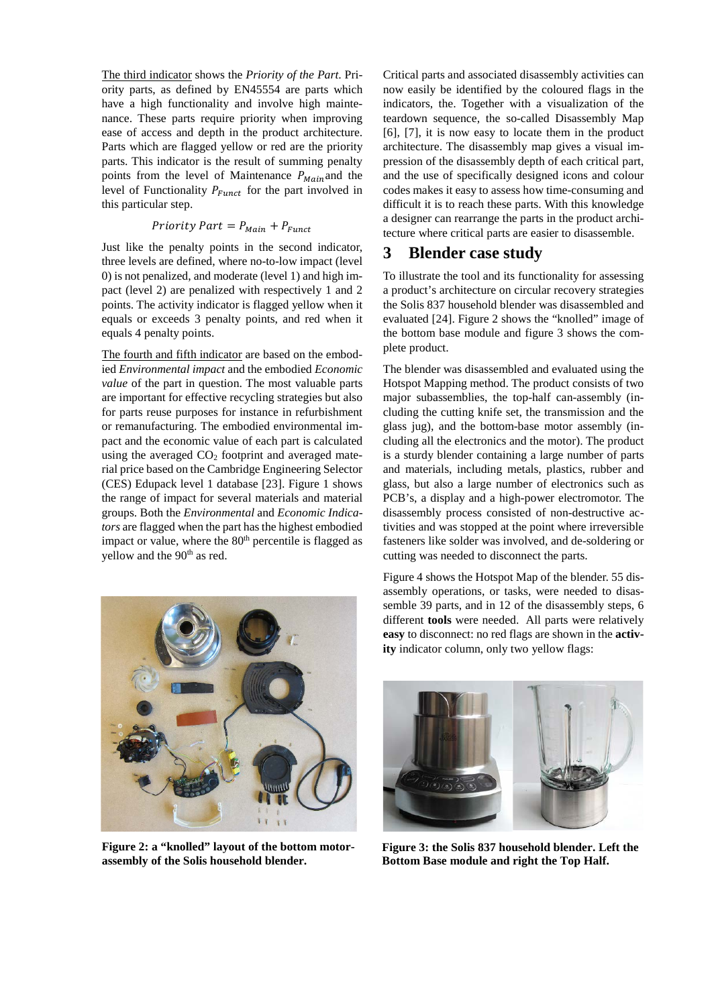The third indicator shows the *Priority of the Part*. Priority parts, as defined by EN45554 are parts which have a high functionality and involve high maintenance. These parts require priority when improving ease of access and depth in the product architecture. Parts which are flagged yellow or red are the priority parts. This indicator is the result of summing penalty points from the level of Maintenance  $P_{Main}$  and the level of Functionality  $P_{Funct}$  for the part involved in this particular step.

#### Priority Part =  $P_{Main} + P_{Funct}$

Just like the penalty points in the second indicator, three levels are defined, where no-to-low impact (level 0) is not penalized, and moderate (level 1) and high impact (level 2) are penalized with respectively 1 and 2 points. The activity indicator is flagged yellow when it equals or exceeds 3 penalty points, and red when it equals 4 penalty points.

The fourth and fifth indicator are based on the embodied *Environmental impact* and the embodied *Economic value* of the part in question. The most valuable parts are important for effective recycling strategies but also for parts reuse purposes for instance in refurbishment or remanufacturing. The embodied environmental impact and the economic value of each part is calculated using the averaged  $CO<sub>2</sub>$  footprint and averaged material price based on the Cambridge Engineering Selector (CES) Edupack level 1 database [23]. Figure 1 shows the range of impact for several materials and material groups. Both the *Environmental* and *Economic Indicators* are flagged when the part has the highest embodied impact or value, where the  $80<sup>th</sup>$  percentile is flagged as yellow and the 90<sup>th</sup> as red.



**Figure 2: a "knolled" layout of the bottom motorassembly of the Solis household blender.** 

Critical parts and associated disassembly activities can now easily be identified by the coloured flags in the indicators, the. Together with a visualization of the teardown sequence, the so-called Disassembly Map [6], [7], it is now easy to locate them in the product architecture. The disassembly map gives a visual impression of the disassembly depth of each critical part, and the use of specifically designed icons and colour codes makes it easy to assess how time-consuming and difficult it is to reach these parts. With this knowledge a designer can rearrange the parts in the product architecture where critical parts are easier to disassemble.

## **3 Blender case study**

To illustrate the tool and its functionality for assessing a product's architecture on circular recovery strategies the Solis 837 household blender was disassembled and evaluated [24]. Figure 2 shows the "knolled" image of the bottom base module and figure 3 shows the complete product.

The blender was disassembled and evaluated using the Hotspot Mapping method. The product consists of two major subassemblies, the top-half can-assembly (including the cutting knife set, the transmission and the glass jug), and the bottom-base motor assembly (including all the electronics and the motor). The product is a sturdy blender containing a large number of parts and materials, including metals, plastics, rubber and glass, but also a large number of electronics such as PCB's, a display and a high-power electromotor. The disassembly process consisted of non-destructive activities and was stopped at the point where irreversible fasteners like solder was involved, and de-soldering or cutting was needed to disconnect the parts.

Figure 4 shows the Hotspot Map of the blender. 55 disassembly operations, or tasks, were needed to disassemble 39 parts, and in 12 of the disassembly steps, 6 different **tools** were needed. All parts were relatively **easy** to disconnect: no red flags are shown in the **activity** indicator column, only two yellow flags:



**Figure 3: the Solis 837 household blender. Left the Bottom Base module and right the Top Half.**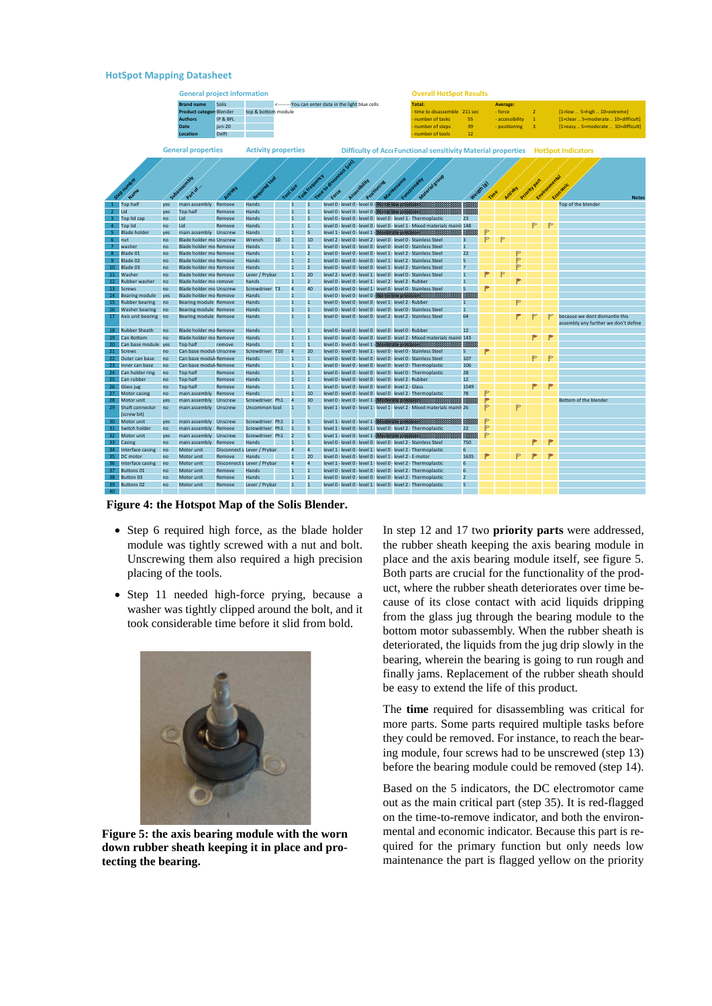#### **HotSpot Mapping Datasheet**

|                            |                          |                           | <b>General project information</b>                      |           |                             | <b>Overall HotSpot Results</b>                       |                |                      |  |  |                                             |  |                                                                                 |                                                                                                                                        |                    |   |                 |   |                         |           |                                      |  |
|----------------------------|--------------------------|---------------------------|---------------------------------------------------------|-----------|-----------------------------|------------------------------------------------------|----------------|----------------------|--|--|---------------------------------------------|--|---------------------------------------------------------------------------------|----------------------------------------------------------------------------------------------------------------------------------------|--------------------|---|-----------------|---|-------------------------|-----------|--------------------------------------|--|
|                            |                          |                           | <b>Brand name</b>                                       | Solis     |                             | <-------- You can enter data in the light blue cells |                |                      |  |  | <b>Total:</b><br><b>Average:</b>            |  |                                                                                 |                                                                                                                                        |                    |   |                 |   |                         |           |                                      |  |
|                            |                          |                           | <b>Product categon Blender</b>                          |           | top & bottom module         |                                                      |                |                      |  |  |                                             |  |                                                                                 | time to disassemble 211 sec                                                                                                            |                    |   | - force         |   | $\overline{2}$          |           | [1=low  5=high  10=extreme]          |  |
|                            |                          |                           | <b>Authors</b>                                          | IP & BFL  |                             |                                                      |                |                      |  |  |                                             |  |                                                                                 | number of tasks                                                                                                                        | 55                 |   | - accessibility |   | $\mathbf{1}$            |           | [1=clear  5=moderate  10=difficult]  |  |
|                            |                          |                           | <b>Date</b>                                             | $i$ un-20 |                             |                                                      |                |                      |  |  |                                             |  |                                                                                 | number of steps                                                                                                                        | 39                 |   | - positioning   |   | $\overline{\mathbf{3}}$ |           | [1=easy  5=moderate  10=difficult]   |  |
|                            |                          |                           | Location                                                | Delft     |                             |                                                      |                |                      |  |  |                                             |  |                                                                                 | number of tools                                                                                                                        | 12                 |   |                 |   |                         |           |                                      |  |
|                            |                          |                           |                                                         |           |                             |                                                      |                |                      |  |  |                                             |  |                                                                                 |                                                                                                                                        |                    |   |                 |   |                         |           |                                      |  |
|                            |                          | <b>General properties</b> |                                                         |           |                             | <b>Activity properties</b>                           |                |                      |  |  |                                             |  | Difficulty of AcceFunctional sensitivity Material properties HotSpot Indicators |                                                                                                                                        |                    |   |                 |   |                         |           |                                      |  |
|                            |                          |                           |                                                         |           |                             | Time to disomed to                                   |                |                      |  |  |                                             |  |                                                                                 |                                                                                                                                        |                    |   |                 |   |                         |           |                                      |  |
|                            |                          |                           |                                                         |           |                             |                                                      |                |                      |  |  |                                             |  |                                                                                 |                                                                                                                                        |                    |   |                 |   |                         |           |                                      |  |
|                            |                          |                           | SJDSESSMAN                                              |           | Required tool               |                                                      |                |                      |  |  |                                             |  |                                                                                 | Material group<br>Functionality                                                                                                        |                    |   |                 |   |                         |           |                                      |  |
|                            | See oumbe                |                           | Part of                                                 |           |                             |                                                      |                |                      |  |  | Accessibility<br>Positionine                |  |                                                                                 |                                                                                                                                        |                    |   |                 |   | Priority Par            | Environme |                                      |  |
|                            |                          |                           |                                                         |           |                             |                                                      | Tool size      |                      |  |  |                                             |  |                                                                                 |                                                                                                                                        |                    |   | Activity        |   |                         |           |                                      |  |
|                            |                          |                           |                                                         |           |                             |                                                      |                | Task frequency       |  |  |                                             |  |                                                                                 |                                                                                                                                        |                    |   |                 |   |                         |           | <b>Notes</b>                         |  |
|                            | 1 Top half               | yes                       | main assembly                                           | Remove    | Hands                       |                                                      | $\overline{1}$ | $\overline{1}$       |  |  |                                             |  | level 0 - level 0 - level 0 - Nic for low precision.                            |                                                                                                                                        |                    |   |                 |   |                         |           | Top of the blender                   |  |
|                            | $2$ Lid                  | yes                       | <b>Top half</b>                                         | Remove    | Hands                       |                                                      |                | $\overline{1}$       |  |  | level 0 - level 0 - level 0 - Was to low to |  |                                                                                 |                                                                                                                                        |                    |   |                 |   |                         |           |                                      |  |
|                            | 3 Top lid cap            | no                        | Lid                                                     | Remove    | Hands                       |                                                      | $\overline{1}$ | $\overline{1}$       |  |  |                                             |  |                                                                                 | level 0 - level 0 - level 0 - level 0 - level 1 - Thermoplastic                                                                        | 23                 |   |                 |   | Þ                       |           |                                      |  |
|                            | 4 Top lid                | no                        | Lid                                                     | Remove    | Hands                       |                                                      | $\overline{1}$ | $\overline{1}$       |  |  |                                             |  |                                                                                 | level 0 - level 0 - level 0 - level 0 - level 1 - Mixed materials mainh 148                                                            |                    |   |                 |   |                         | P         |                                      |  |
| 5 <sub>1</sub>             | <b>Blade holder</b>      | yes                       | main assembly Unscrew                                   |           | Hands                       |                                                      | 1              | 5                    |  |  |                                             |  | level 1 - level 0 - level 1 - Minderate precision                               |                                                                                                                                        |                    | P | P               |   |                         |           |                                      |  |
|                            | 6 nut                    | no                        | <b>Blade holder mo Unscrew</b>                          |           | Wrench                      | 10                                                   |                | 10<br>$\overline{1}$ |  |  |                                             |  |                                                                                 | level 2 - level 0 - level 2 - level 0 - level 0 - Stainless Steel                                                                      | 3                  |   |                 |   |                         |           |                                      |  |
| $\overline{7}$<br>$\bf{8}$ | washer                   | no                        | <b>Blade holder mo Remove</b>                           |           | Hands                       |                                                      |                | $\overline{2}$       |  |  |                                             |  |                                                                                 | level 0 - level 0 - level 0 - level 0 - level 0 - Stainless Steel                                                                      | $\mathbf{1}$<br>22 |   |                 | P |                         |           |                                      |  |
| 9 <sup>°</sup>             | Blade 01<br>Blade 02     | no                        | Blade holder mo Remove<br>Blade holder mo Remove        |           | Hands<br>Hands              |                                                      | 1              | $\overline{2}$       |  |  |                                             |  |                                                                                 | level 0 - level 0 - level 0 - level 1 - level 2 - Stainless Steel<br>level 0 - level 0 - level 0 - level 1 - level 2 - Stainless Steel | $5\overline{2}$    |   |                 | P |                         |           |                                      |  |
|                            |                          | no                        |                                                         |           |                             |                                                      |                | $\overline{2}$       |  |  |                                             |  |                                                                                 |                                                                                                                                        | $\overline{z}$     |   |                 | P |                         |           |                                      |  |
|                            | 10 Blade 03<br>11 Washer | no                        | <b>Blade holder mo Remove</b><br>Blade holder mo Remove |           | Hands<br>Lever / Prybar     |                                                      |                | 20                   |  |  |                                             |  |                                                                                 | level 0 - level 0 - level 0 - level 1 - level 2 - Stainless Steel<br>level 2 - level 0 - level 1 - level 0 - level 0 - Stainless Steel | $\mathbf{1}$       |   | Þ               |   |                         |           |                                      |  |
|                            | 12 Rubber washer         | no                        | Blade holder mo remove                                  |           |                             |                                                      | 1              | $\overline{2}$       |  |  |                                             |  | level 0 - level 0 - level 1 - level 2 - level 2 - Rubber                        |                                                                                                                                        | $\mathbf{1}$       |   |                 | Þ |                         |           |                                      |  |
|                            | 13 Screws                | no<br>no                  | <b>Blade holder mo Unscrew</b>                          |           | hands<br>Screwdriver T3     |                                                      | $\overline{a}$ | 40                   |  |  |                                             |  |                                                                                 | level 0 - level 0 - level 1 - level 0 - level 0 - Stainless Steel                                                                      | 5                  |   |                 |   |                         |           |                                      |  |
| 14                         | <b>Bearing module</b>    | ves                       | <b>Blade holder mo Remove</b>                           |           | Hands                       |                                                      | 1              |                      |  |  |                                             |  | level 0 - level 0 - level 0 - www.communecisions                                |                                                                                                                                        |                    |   |                 |   |                         |           |                                      |  |
|                            | 15 Rubber bearing        | no                        | Bearing module Remove                                   |           | Hands                       |                                                      |                | $\overline{1}$       |  |  |                                             |  | level 0 - level 0 - level 0 - level 1 - level 2 - Rubber                        |                                                                                                                                        | $\mathbf{1}$       |   |                 | P |                         |           |                                      |  |
| 16                         | <b>Washer bearing</b>    | no                        | Bearing module Remove                                   |           | Hands                       |                                                      |                | $\overline{1}$       |  |  |                                             |  |                                                                                 | level 0 - level 0 - level 0 - level 0 - level 0 - Stainless Steel                                                                      | $\mathbf{1}$       |   |                 |   |                         |           |                                      |  |
| 17                         | Axis unit bearing no     |                           | Bearing module Remove                                   |           | Hands                       |                                                      | $\overline{1}$ | $\overline{1}$       |  |  |                                             |  |                                                                                 | level 0 - level 0 - level 0 - level 2 - level 2 - Stainless Steel                                                                      | 64                 |   |                 |   |                         |           | because we dont dismantle this       |  |
|                            |                          |                           |                                                         |           |                             |                                                      |                |                      |  |  |                                             |  |                                                                                 |                                                                                                                                        |                    |   |                 |   |                         |           | assembly any further we don't define |  |
|                            | 18 Rubber Sheath         | no                        | <b>Blade holder mo Remove</b>                           |           | Hands                       |                                                      | $\mathbf{1}$   | $\mathbf{1}$         |  |  |                                             |  | level 0 - level 0 - level 0 - level 0 - level 0 - Rubber                        |                                                                                                                                        | 12                 |   |                 |   |                         |           |                                      |  |
|                            | 19 Can Bottom            | no                        | <b>Blade holder mo Remove</b>                           |           | Hands                       |                                                      |                | $\overline{1}$       |  |  |                                             |  |                                                                                 | level 0 - level 0 - level 0 - level 0 - level 2 - Mixed materials mainh 143                                                            |                    |   |                 |   | P                       | P         |                                      |  |
|                            | 20 Can base module yes   |                           | <b>Top half</b>                                         | remove    | Hands                       |                                                      | 1              | $\overline{1}$       |  |  |                                             |  | level 0 - level 0 - level 1 - handerate precision                               |                                                                                                                                        |                    |   |                 |   |                         |           |                                      |  |
|                            | 21 Screws                | no                        | Can base module Unscrew                                 |           | Screwdriver T10             |                                                      | 4              | 20                   |  |  |                                             |  |                                                                                 | level 0 - level 0 - level 1 - level 0 - level 0 - Stainless Steel                                                                      | 5 <sup>1</sup>     |   |                 |   |                         |           |                                      |  |
|                            | 22 Outer can base        | no                        | Can base moduli Remove                                  |           | Hands                       |                                                      |                | $\overline{1}$       |  |  |                                             |  |                                                                                 | level 0 - level 0 - level 0 - level 0 - level 0 - Stainless Steel                                                                      | 107                |   |                 |   | P                       | P         |                                      |  |
| 23                         | Inner can base           | no                        | Can base modul Remove                                   |           | Hands                       |                                                      |                | $\overline{1}$       |  |  |                                             |  |                                                                                 | level 0 - level 0 - level 0 - level 0 - level 0 - Thermoplastic                                                                        | 106                |   |                 |   |                         |           |                                      |  |
|                            | 24 Can holder ring       | n <sub>0</sub>            | <b>Top half</b>                                         | Remove    | Hands                       |                                                      |                | $\overline{1}$       |  |  |                                             |  |                                                                                 | level 0 - level 0 - level 0 - level 0 - level 0 - Thermoplastic                                                                        | 28                 |   |                 |   |                         |           |                                      |  |
|                            | 25 Can rubber            | no                        | <b>Top half</b>                                         | Remove    | Hands                       |                                                      |                | $\overline{1}$       |  |  |                                             |  | level 0 - level 0 - level 0 - level 0 - level 2 - Rubber                        |                                                                                                                                        | 12                 |   |                 |   |                         |           |                                      |  |
|                            | 26 Glass jug             | no                        | <b>Top half</b>                                         | Remove    | Hands                       |                                                      |                | $\overline{1}$       |  |  |                                             |  | level 0 - level 0 - level 0 - level 0 - level 2 - Glass                         |                                                                                                                                        | 1549               |   |                 |   | P                       | P         |                                      |  |
|                            | 27 Motor casing          | no                        | main assembly                                           | Remove    | Hands                       |                                                      | $\mathbf{1}$   | 10                   |  |  |                                             |  |                                                                                 | level 0 - level 0 - level 0 - level 0 - level 2 - Thermoplastic                                                                        | 78                 | Þ |                 |   |                         |           |                                      |  |
| 28                         | Motor unit               | yes                       | main assembly                                           | Unscrew   | Screwdriver Ph1             |                                                      | $\overline{a}$ | 30                   |  |  |                                             |  | level 0 - level 0 - level 1 - Minderate precision                               |                                                                                                                                        |                    | Þ |                 |   |                         |           | Bottom of the blender                |  |
| 29                         | Shaft connector          | no                        | main assembly                                           | Unscrew   | Uncommon tool               |                                                      | $\overline{1}$ | 5                    |  |  |                                             |  |                                                                                 | level 1 - level 0 - level 1 - level 1 - level 2 - Mixed materials mainly 26                                                            |                    | Þ |                 | P |                         |           |                                      |  |
|                            | (screw bit)              |                           |                                                         |           |                             |                                                      |                |                      |  |  |                                             |  |                                                                                 |                                                                                                                                        |                    |   |                 |   |                         |           |                                      |  |
| 30 <sub>2</sub>            | Motor unit               | yes                       | main assembly                                           | Unscrew   | Screwdriver Ph1             |                                                      |                | 5                    |  |  |                                             |  |                                                                                 | level 1 - level 0 - level 1 - Magazierate precision - -                                                                                |                    |   |                 |   |                         |           |                                      |  |
| 31                         | Switch holder            | no                        | main assembly                                           | Remove    | Screwdriver Ph1             |                                                      | $\overline{1}$ | 5                    |  |  |                                             |  |                                                                                 | level 1 - level 0 - level 1 - level 0 - level 2 - Thermoplastic                                                                        | 22                 | P |                 |   |                         |           |                                      |  |
|                            | 32 Motor unit            | yes                       | main assembly                                           | Unscrew   | Screwdriver Ph1             |                                                      | $\overline{2}$ | 5                    |  |  |                                             |  | level 1 - level 0 - level 1 - Moderate precise                                  |                                                                                                                                        |                    | Þ |                 |   |                         |           |                                      |  |
|                            | 33 Casing                | no                        | main assembly                                           | Remove    | Hands                       |                                                      | 1              | $\mathbf{1}$         |  |  |                                             |  |                                                                                 | level 0 - level 0 - level 0 - level 0 - level 2 - Stainless Steel                                                                      | 750                |   |                 |   |                         | P         |                                      |  |
|                            | 34 Interface casing      | no                        | Motor unit                                              |           | Disconnect s Lever / Prybar |                                                      |                | $\overline{a}$       |  |  |                                             |  |                                                                                 | level 1 - level 0 - level 1 - level 0 - level 2 - Thermoplastic                                                                        | 6                  |   |                 |   |                         |           |                                      |  |
|                            | 35 DC motor              | no                        | Motor unit                                              | Remove    | Hands                       |                                                      | 1              | 20                   |  |  |                                             |  |                                                                                 | level 0 - level 0 - level 0 - level 1 - level 2 - E-motor                                                                              | 1635               |   |                 | P | P.                      | P         |                                      |  |
|                            | 36 Interface casing      | no                        | Motor unit                                              |           | Disconnect s Lever / Prybar |                                                      |                | $\overline{a}$       |  |  |                                             |  |                                                                                 | level 1 - level 0 - level 1 - level 0 - level 2 - Thermoplastic                                                                        | 6                  |   |                 |   |                         |           |                                      |  |
|                            | 37 Buttons 01            | no                        | Motor unit                                              | Remove    | Hands                       |                                                      |                | $\overline{1}$       |  |  |                                             |  |                                                                                 | level 0 - level 0 - level 0 - level 0 - level 2 - Thermoplastic                                                                        | 6                  |   |                 |   |                         |           |                                      |  |
| 38                         | Button <sub>03</sub>     | no                        | Motor unit                                              | Remove    | Hands                       |                                                      |                | $\overline{1}$       |  |  |                                             |  |                                                                                 | level 0 - level 0 - level 0 - level 0 - level 2 - Thermoplastic                                                                        | $\overline{2}$     |   |                 |   |                         |           |                                      |  |
|                            | 39 Buttons 02            | n <sub>0</sub>            | Motor unit                                              | Remove    | Lever / Prybar              |                                                      | 1              | $\overline{1}$       |  |  |                                             |  |                                                                                 | level 0 - level 0 - level 1 - level 0 - level 2 - Thermoplastic                                                                        | 5                  |   |                 |   |                         |           |                                      |  |
| 40                         |                          |                           |                                                         |           |                             |                                                      |                |                      |  |  |                                             |  |                                                                                 |                                                                                                                                        |                    |   |                 |   |                         |           |                                      |  |

<span id="page-4-0"></span>**Figure 4: the Hotspot Map of the Solis Blender.**

- Step 6 required high force, as the blade holder module was tightly screwed with a nut and bolt. Unscrewing them also required a high precision placing of the tools.
- Step 11 needed high-force prying, because a washer was tightly clipped around the bolt, and it took considerable time before it slid from bold.



**Figure 5: the axis bearing module with the worn down rubber sheath keeping it in place and protecting the bearing.** 

In step 12 and 17 two **priority parts** were addressed, the rubber sheath keeping the axis bearing module in place and the axis bearing module itself, see figure 5. Both parts are crucial for the functionality of the product, where the rubber sheath deteriorates over time because of its close contact with acid liquids dripping from the glass jug through the bearing module to the bottom motor subassembly. When the rubber sheath is deteriorated, the liquids from the jug drip slowly in the bearing, wherein the bearing is going to run rough and finally jams. Replacement of the rubber sheath should be easy to extend the life of this product.

The **time** required for disassembling was critical for more parts. Some parts required multiple tasks before they could be removed. For instance, to reach the bearing module, four screws had to be unscrewed (step 13) before the bearing module could be removed (step 14).

Based on the 5 indicators, the DC electromotor came out as the main critical part (step 35). It is red-flagged on the time-to-remove indicator, and both the environmental and economic indicator. Because this part is required for the primary function but only needs low maintenance the part is flagged yellow on the priority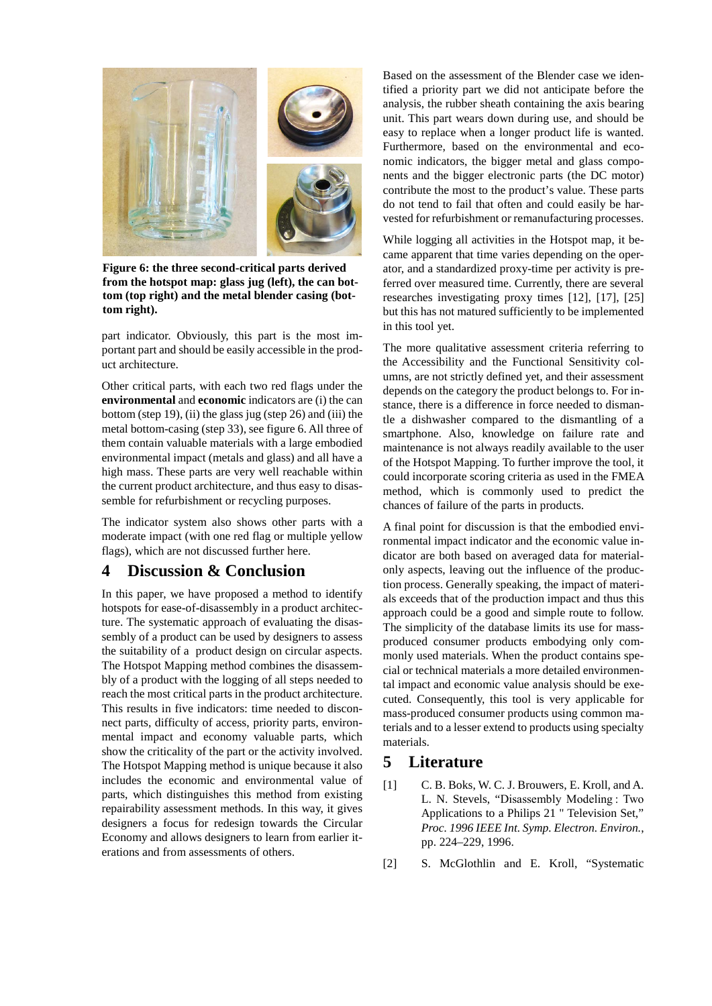

**Figure 6: the three second-critical parts derived from the hotspot map: glass jug (left), the can bottom (top right) and the metal blender casing (bottom right).**

part indicator. Obviously, this part is the most important part and should be easily accessible in the product architecture.

Other critical parts, with each two red flags under the **environmental** and **economic** indicators are (i) the can bottom (step 19), (ii) the glass jug (step 26) and (iii) the metal bottom-casing (step 33), see figure 6. All three of them contain valuable materials with a large embodied environmental impact (metals and glass) and all have a high mass. These parts are very well reachable within the current product architecture, and thus easy to disassemble for refurbishment or recycling purposes.

The indicator system also shows other parts with a moderate impact (with one red flag or multiple yellow flags), which are not discussed further here.

# **4 Discussion & Conclusion**

In this paper, we have proposed a method to identify hotspots for ease-of-disassembly in a product architecture. The systematic approach of evaluating the disassembly of a product can be used by designers to assess the suitability of a product design on circular aspects. The Hotspot Mapping method combines the disassembly of a product with the logging of all steps needed to reach the most critical parts in the product architecture. This results in five indicators: time needed to disconnect parts, difficulty of access, priority parts, environmental impact and economy valuable parts, which show the criticality of the part or the activity involved. The Hotspot Mapping method is unique because it also includes the economic and environmental value of parts, which distinguishes this method from existing repairability assessment methods. In this way, it gives designers a focus for redesign towards the Circular Economy and allows designers to learn from earlier iterations and from assessments of others.

Based on the assessment of the Blender case we identified a priority part we did not anticipate before the analysis, the rubber sheath containing the axis bearing unit. This part wears down during use, and should be easy to replace when a longer product life is wanted. Furthermore, based on the environmental and economic indicators, the bigger metal and glass components and the bigger electronic parts (the DC motor) contribute the most to the product's value. These parts do not tend to fail that often and could easily be harvested for refurbishment or remanufacturing processes.

While logging all activities in the Hotspot map, it became apparent that time varies depending on the operator, and a standardized proxy-time per activity is preferred over measured time. Currently, there are several researches investigating proxy times [12], [17], [25] but this has not matured sufficiently to be implemented in this tool yet.

The more qualitative assessment criteria referring to the Accessibility and the Functional Sensitivity columns, are not strictly defined yet, and their assessment depends on the category the product belongs to. For instance, there is a difference in force needed to dismantle a dishwasher compared to the dismantling of a smartphone. Also, knowledge on failure rate and maintenance is not always readily available to the user of the Hotspot Mapping. To further improve the tool, it could incorporate scoring criteria as used in the FMEA method, which is commonly used to predict the chances of failure of the parts in products.

A final point for discussion is that the embodied environmental impact indicator and the economic value indicator are both based on averaged data for materialonly aspects, leaving out the influence of the production process. Generally speaking, the impact of materials exceeds that of the production impact and thus this approach could be a good and simple route to follow. The simplicity of the database limits its use for massproduced consumer products embodying only commonly used materials. When the product contains special or technical materials a more detailed environmental impact and economic value analysis should be executed. Consequently, this tool is very applicable for mass-produced consumer products using common materials and to a lesser extend to products using specialty materials.

## **5 Literature**

- [1] C. B. Boks, W. C. J. Brouwers, E. Kroll, and A. L. N. Stevels, "Disassembly Modeling : Two Applications to a Philips 21 " Television Set," *Proc. 1996 IEEE Int. Symp. Electron. Environ.*, pp. 224–229, 1996.
- [2] S. McGlothlin and E. Kroll, "Systematic